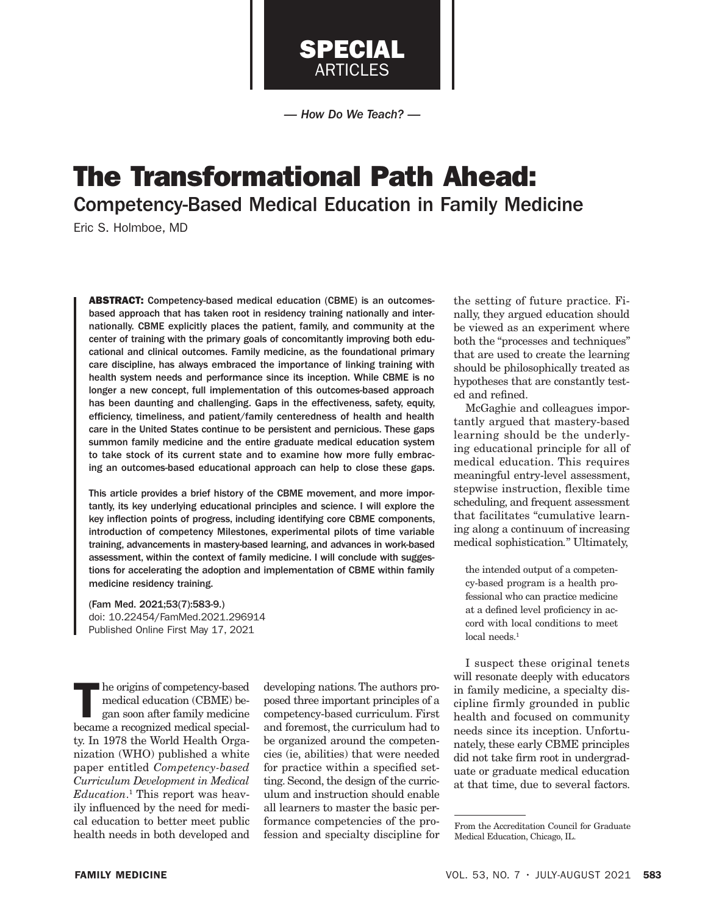

SPECIAL ARTICLES

The Transformational Path Ahead: Competency-Based Medical Education in Family Medicine

Eric S. Holmboe, MD

ABSTRACT: Competency-based medical education (CBME) is an outcomesbased approach that has taken root in residency training nationally and internationally. CBME explicitly places the patient, family, and community at the center of training with the primary goals of concomitantly improving both educational and clinical outcomes. Family medicine, as the foundational primary care discipline, has always embraced the importance of linking training with health system needs and performance since its inception. While CBME is no longer a new concept, full implementation of this outcomes-based approach has been daunting and challenging. Gaps in the effectiveness, safety, equity, efficiency, timeliness, and patient/family centeredness of health and health care in the United States continue to be persistent and pernicious. These gaps summon family medicine and the entire graduate medical education system to take stock of its current state and to examine how more fully embracing an outcomes-based educational approach can help to close these gaps.

This article provides a brief history of the CBME movement, and more importantly, its key underlying educational principles and science. I will explore the key inflection points of progress, including identifying core CBME components, introduction of competency Milestones, experimental pilots of time variable training, advancements in mastery-based learning, and advances in work-based assessment, within the context of family medicine. I will conclude with suggestions for accelerating the adoption and implementation of CBME within family medicine residency training.

(Fam Med. 2021;53(7):583-9.) doi: 10.22454/FamMed.2021.296914 Published Online First May 17, 2021

The origins of competency-based medical education (CBME) began soon after family medicine became a recognized medical specialty. In 1978 the World Health Organization (WHO) published a white paper entitled *Competency-based Curriculum Development in Medical Education*. 1 This report was heavily influenced by the need for medical education to better meet public health needs in both developed and

developing nations. The authors proposed three important principles of a competency-based curriculum. First and foremost, the curriculum had to be organized around the competencies (ie, abilities) that were needed for practice within a specified setting. Second, the design of the curriculum and instruction should enable all learners to master the basic performance competencies of the profession and specialty discipline for

the setting of future practice. Finally, they argued education should be viewed as an experiment where both the "processes and techniques" that are used to create the learning should be philosophically treated as hypotheses that are constantly tested and refined.

McGaghie and colleagues importantly argued that mastery-based learning should be the underlying educational principle for all of medical education. This requires meaningful entry-level assessment, stepwise instruction, flexible time scheduling, and frequent assessment that facilitates "cumulative learning along a continuum of increasing medical sophistication*.*" Ultimately,

the intended output of a competency-based program is a health professional who can practice medicine at a defined level proficiency in accord with local conditions to meet local needs.<sup>1</sup>

I suspect these original tenets will resonate deeply with educators in family medicine, a specialty discipline firmly grounded in public health and focused on community needs since its inception. Unfortunately, these early CBME principles did not take firm root in undergraduate or graduate medical education at that time, due to several factors.

From the Accreditation Council for Graduate Medical Education, Chicago, IL.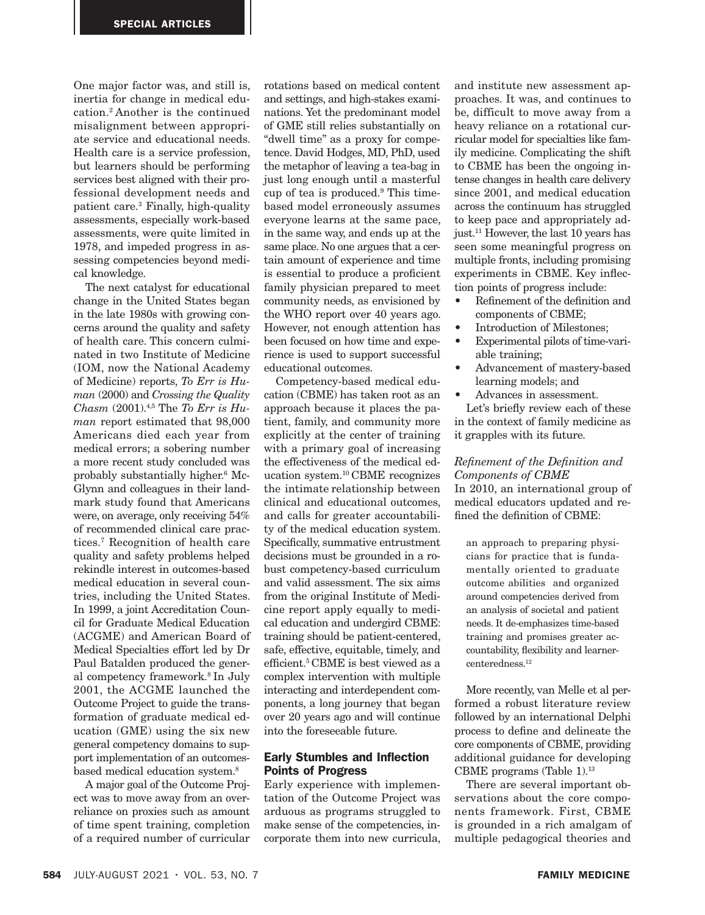One major factor was, and still is, inertia for change in medical education.2 Another is the continued misalignment between appropriate service and educational needs. Health care is a service profession, but learners should be performing services best aligned with their professional development needs and patient care.3 Finally, high-quality assessments, especially work-based assessments, were quite limited in 1978, and impeded progress in assessing competencies beyond medical knowledge.

The next catalyst for educational change in the United States began in the late 1980s with growing concerns around the quality and safety of health care. This concern culminated in two Institute of Medicine (IOM, now the National Academy of Medicine) reports, *To Err is Human* (2000) and *Crossing the Quality Chasm* (2001).4,5 The *To Err is Human* report estimated that 98,000 Americans died each year from medical errors; a sobering number a more recent study concluded was probably substantially higher.6 Mc-Glynn and colleagues in their landmark study found that Americans were, on average, only receiving 54% of recommended clinical care practices.7 Recognition of health care quality and safety problems helped rekindle interest in outcomes-based medical education in several countries, including the United States. In 1999, a joint Accreditation Council for Graduate Medical Education (ACGME) and American Board of Medical Specialties effort led by Dr Paul Batalden produced the general competency framework.8 In July 2001, the ACGME launched the Outcome Project to guide the transformation of graduate medical education (GME) using the six new general competency domains to support implementation of an outcomesbased medical education system.8

A major goal of the Outcome Project was to move away from an overreliance on proxies such as amount of time spent training, completion of a required number of curricular

rotations based on medical content and settings, and high-stakes examinations. Yet the predominant model of GME still relies substantially on "dwell time" as a proxy for competence. David Hodges, MD, PhD, used the metaphor of leaving a tea-bag in just long enough until a masterful cup of tea is produced.9 This timebased model erroneously assumes everyone learns at the same pace, in the same way, and ends up at the same place. No one argues that a certain amount of experience and time is essential to produce a proficient family physician prepared to meet community needs, as envisioned by the WHO report over 40 years ago. However, not enough attention has been focused on how time and experience is used to support successful educational outcomes.

Competency-based medical education (CBME) has taken root as an approach because it places the patient, family, and community more explicitly at the center of training with a primary goal of increasing the effectiveness of the medical education system.10 CBME recognizes the intimate relationship between clinical and educational outcomes, and calls for greater accountability of the medical education system. Specifically, summative entrustment decisions must be grounded in a robust competency-based curriculum and valid assessment. The six aims from the original Institute of Medicine report apply equally to medical education and undergird CBME: training should be patient-centered, safe, effective, equitable, timely, and efficient.<sup>5</sup> CBME is best viewed as a complex intervention with multiple interacting and interdependent components, a long journey that began over 20 years ago and will continue into the foreseeable future.

## Early Stumbles and Inflection Points of Progress

Early experience with implementation of the Outcome Project was arduous as programs struggled to make sense of the competencies, incorporate them into new curricula,

and institute new assessment approaches. It was, and continues to be, difficult to move away from a heavy reliance on a rotational curricular model for specialties like family medicine. Complicating the shift to CBME has been the ongoing intense changes in health care delivery since 2001, and medical education across the continuum has struggled to keep pace and appropriately adjust.11 However, the last 10 years has seen some meaningful progress on multiple fronts, including promising experiments in CBME. Key inflection points of progress include:

- Refinement of the definition and components of CBME;
- Introduction of Milestones;
- Experimental pilots of time-variable training;
- Advancement of mastery-based learning models; and
- Advances in assessment.

Let's briefly review each of these in the context of family medicine as it grapples with its future.

# *Refinement of the Definition and Components of CBME*

In 2010, an international group of medical educators updated and refined the definition of CBME:

an approach to preparing physicians for practice that is fundamentally oriented to graduate outcome abilities and organized around competencies derived from an analysis of societal and patient needs. It de-emphasizes time-based training and promises greater accountability, flexibility and learnercenteredness.12

More recently, van Melle et al performed a robust literature review followed by an international Delphi process to define and delineate the core components of CBME, providing additional guidance for developing CBME programs (Table 1).13

There are several important observations about the core components framework. First, CBME is grounded in a rich amalgam of multiple pedagogical theories and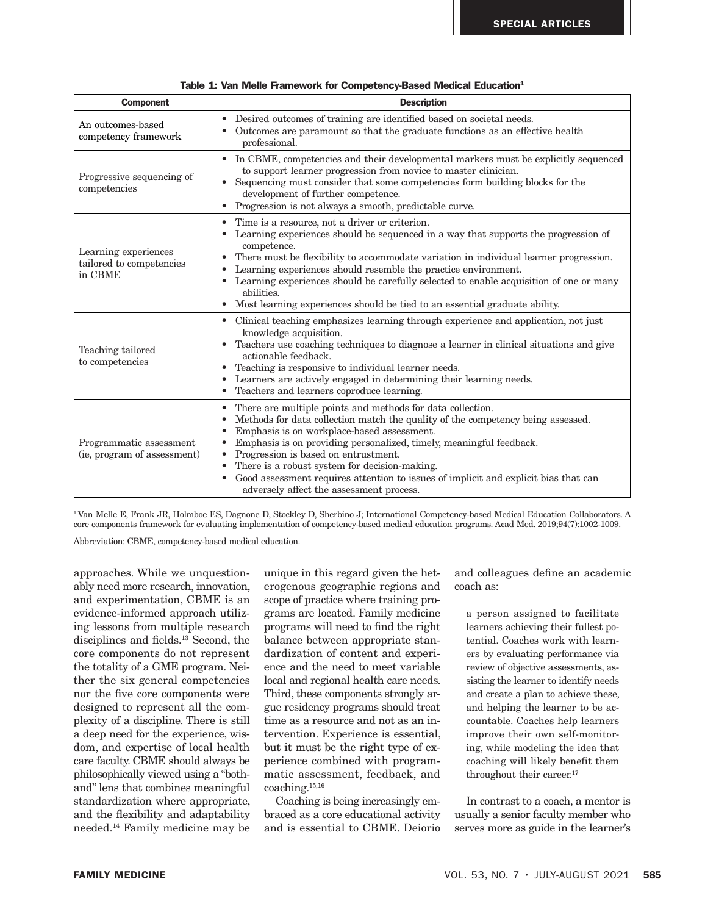| <b>Component</b>                                            | <b>Description</b>                                                                                                                                                                                                                                                                                                                                                                                                                                                                                                                          |  |  |  |
|-------------------------------------------------------------|---------------------------------------------------------------------------------------------------------------------------------------------------------------------------------------------------------------------------------------------------------------------------------------------------------------------------------------------------------------------------------------------------------------------------------------------------------------------------------------------------------------------------------------------|--|--|--|
| An outcomes-based<br>competency framework                   | Desired outcomes of training are identified based on societal needs.<br>$\bullet$<br>Outcomes are paramount so that the graduate functions as an effective health<br>professional.                                                                                                                                                                                                                                                                                                                                                          |  |  |  |
| Progressive sequencing of<br>competencies                   | • In CBME, competencies and their developmental markers must be explicitly sequenced<br>to support learner progression from novice to master clinician.<br>Sequencing must consider that some competencies form building blocks for the<br>$\bullet$<br>development of further competence.<br>• Progression is not always a smooth, predictable curve.                                                                                                                                                                                      |  |  |  |
| Learning experiences<br>tailored to competencies<br>in CBME | Time is a resource, not a driver or criterion.<br>Learning experiences should be sequenced in a way that supports the progression of<br>$\bullet$<br>competence.<br>There must be flexibility to accommodate variation in individual learner progression.<br>Learning experiences should resemble the practice environment.<br>$\bullet$<br>Learning experiences should be carefully selected to enable acquisition of one or many<br>abilities.<br>Most learning experiences should be tied to an essential graduate ability.<br>$\bullet$ |  |  |  |
| Teaching tailored<br>to competencies                        | Clinical teaching emphasizes learning through experience and application, not just<br>$\bullet$<br>knowledge acquisition.<br>Teachers use coaching techniques to diagnose a learner in clinical situations and give<br>$\bullet$<br>actionable feedback.<br>Teaching is responsive to individual learner needs.<br>Learners are actively engaged in determining their learning needs.<br>Teachers and learners coproduce learning.                                                                                                          |  |  |  |
| Programmatic assessment<br>(ie, program of assessment)      | There are multiple points and methods for data collection.<br>$\bullet$<br>Methods for data collection match the quality of the competency being assessed.<br>Emphasis is on workplace-based assessment.<br>Emphasis is on providing personalized, timely, meaningful feedback.<br>Progression is based on entrustment.<br>There is a robust system for decision-making.<br>$\bullet$<br>Good assessment requires attention to issues of implicit and explicit bias that can<br>$\bullet$<br>adversely affect the assessment process.       |  |  |  |

|  |  | Table 1: Van Melle Framework for Competency-Based Medical Education <sup>1</sup> |  |  |
|--|--|----------------------------------------------------------------------------------|--|--|
|--|--|----------------------------------------------------------------------------------|--|--|

1 Van Melle E, Frank JR, Holmboe ES, Dagnone D, Stockley D, Sherbino J; International Competency-based Medical Education Collaborators. A core components framework for evaluating implementation of competency-based medical education programs. Acad Med. 2019;94(7):1002-1009.

Abbreviation: CBME, competency-based medical education.

approaches. While we unquestionably need more research, innovation, and experimentation, CBME is an evidence-informed approach utilizing lessons from multiple research disciplines and fields.<sup>13</sup> Second, the core components do not represent the totality of a GME program. Neither the six general competencies nor the five core components were designed to represent all the complexity of a discipline. There is still a deep need for the experience, wisdom, and expertise of local health care faculty. CBME should always be philosophically viewed using a "bothand" lens that combines meaningful standardization where appropriate, and the flexibility and adaptability needed.14 Family medicine may be

unique in this regard given the heterogenous geographic regions and scope of practice where training programs are located. Family medicine programs will need to find the right balance between appropriate standardization of content and experience and the need to meet variable local and regional health care needs. Third, these components strongly argue residency programs should treat time as a resource and not as an intervention. Experience is essential, but it must be the right type of experience combined with programmatic assessment, feedback, and coaching.15,16

Coaching is being increasingly embraced as a core educational activity and is essential to CBME. Deiorio and colleagues define an academic coach as:

a person assigned to facilitate learners achieving their fullest potential. Coaches work with learners by evaluating performance via review of objective assessments, assisting the learner to identify needs and create a plan to achieve these, and helping the learner to be accountable. Coaches help learners improve their own self-monitoring, while modeling the idea that coaching will likely benefit them throughout their career.<sup>17</sup>

In contrast to a coach, a mentor is usually a senior faculty member who serves more as guide in the learner's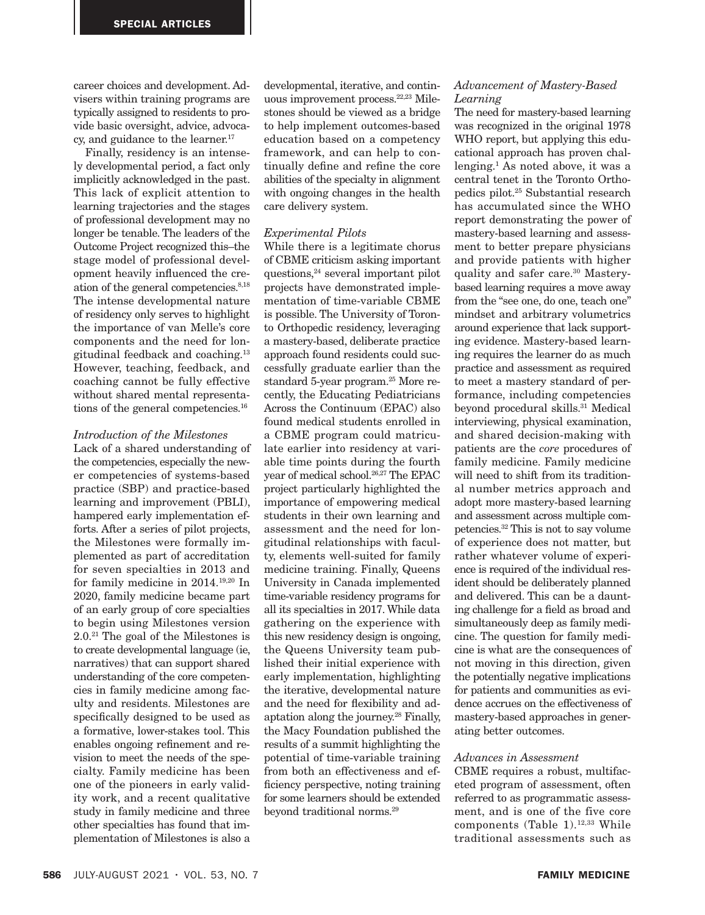career choices and development. Advisers within training programs are typically assigned to residents to provide basic oversight, advice, advocacy, and guidance to the learner.<sup>17</sup>

Finally, residency is an intensely developmental period, a fact only implicitly acknowledged in the past. This lack of explicit attention to learning trajectories and the stages of professional development may no longer be tenable. The leaders of the Outcome Project recognized this–the stage model of professional development heavily influenced the creation of the general competencies.8,18 The intense developmental nature of residency only serves to highlight the importance of van Melle's core components and the need for longitudinal feedback and coaching.13 However, teaching, feedback, and coaching cannot be fully effective without shared mental representations of the general competencies.16

## *Introduction of the Milestones*

Lack of a shared understanding of the competencies, especially the newer competencies of systems-based practice (SBP) and practice-based learning and improvement (PBLI), hampered early implementation efforts. After a series of pilot projects, the Milestones were formally implemented as part of accreditation for seven specialties in 2013 and for family medicine in 2014.19,20 In 2020, family medicine became part of an early group of core specialties to begin using Milestones version 2.0.21 The goal of the Milestones is to create developmental language (ie, narratives) that can support shared understanding of the core competencies in family medicine among faculty and residents. Milestones are specifically designed to be used as a formative, lower-stakes tool. This enables ongoing refinement and revision to meet the needs of the specialty. Family medicine has been one of the pioneers in early validity work, and a recent qualitative study in family medicine and three other specialties has found that implementation of Milestones is also a developmental, iterative, and continuous improvement process.<sup>22,23</sup> Milestones should be viewed as a bridge to help implement outcomes-based education based on a competency framework, and can help to continually define and refine the core abilities of the specialty in alignment with ongoing changes in the health care delivery system.

### *Experimental Pilots*

While there is a legitimate chorus of CBME criticism asking important questions,24 several important pilot projects have demonstrated implementation of time-variable CBME is possible. The University of Toronto Orthopedic residency, leveraging a mastery-based, deliberate practice approach found residents could successfully graduate earlier than the standard 5-year program.25 More recently, the Educating Pediatricians Across the Continuum (EPAC) also found medical students enrolled in a CBME program could matriculate earlier into residency at variable time points during the fourth year of medical school.26,27 The EPAC project particularly highlighted the importance of empowering medical students in their own learning and assessment and the need for longitudinal relationships with faculty, elements well-suited for family medicine training. Finally, Queens University in Canada implemented time-variable residency programs for all its specialties in 2017. While data gathering on the experience with this new residency design is ongoing, the Queens University team published their initial experience with early implementation, highlighting the iterative, developmental nature and the need for flexibility and adaptation along the journey.28 Finally, the Macy Foundation published the results of a summit highlighting the potential of time-variable training from both an effectiveness and efficiency perspective, noting training for some learners should be extended beyond traditional norms.29

## *Advancement of Mastery-Based Learning*

The need for mastery-based learning was recognized in the original 1978 WHO report, but applying this educational approach has proven challenging.1 As noted above, it was a central tenet in the Toronto Orthopedics pilot.25 Substantial research has accumulated since the WHO report demonstrating the power of mastery-based learning and assessment to better prepare physicians and provide patients with higher quality and safer care.30 Masterybased learning requires a move away from the "see one, do one, teach one" mindset and arbitrary volumetrics around experience that lack supporting evidence. Mastery-based learning requires the learner do as much practice and assessment as required to meet a mastery standard of performance, including competencies beyond procedural skills.31 Medical interviewing, physical examination, and shared decision-making with patients are the *core* procedures of family medicine. Family medicine will need to shift from its traditional number metrics approach and adopt more mastery-based learning and assessment across multiple competencies.32 This is not to say volume of experience does not matter, but rather whatever volume of experience is required of the individual resident should be deliberately planned and delivered. This can be a daunting challenge for a field as broad and simultaneously deep as family medicine. The question for family medicine is what are the consequences of not moving in this direction, given the potentially negative implications for patients and communities as evidence accrues on the effectiveness of mastery-based approaches in generating better outcomes.

### *Advances in Assessment*

CBME requires a robust, multifaceted program of assessment, often referred to as programmatic assessment, and is one of the five core components (Table 1).<sup>12,33</sup> While traditional assessments such as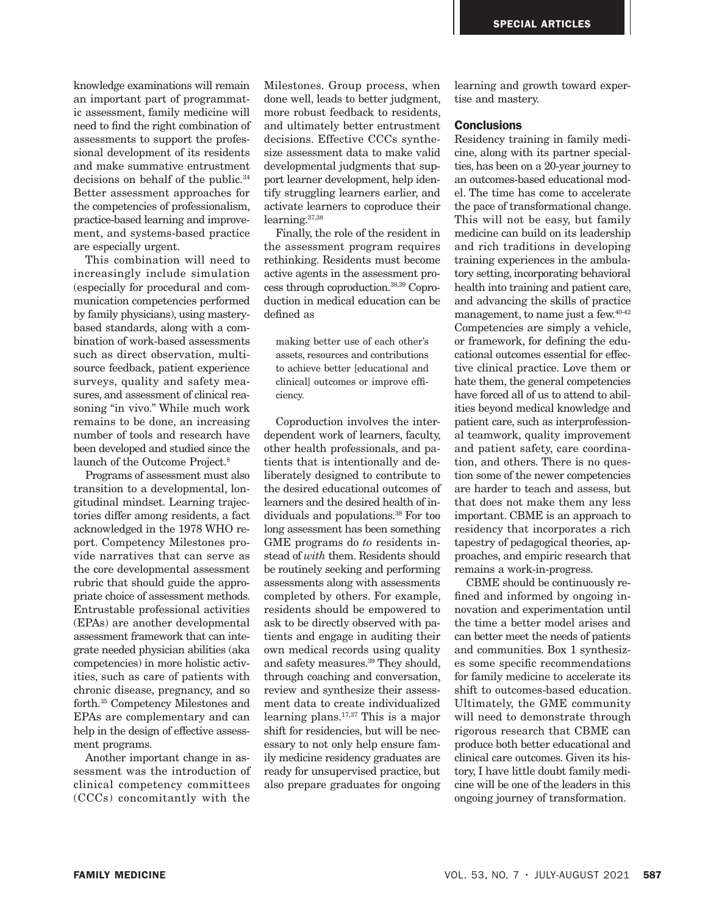knowledge examinations will remain an important part of programmatic assessment, family medicine will need to find the right combination of assessments to support the professional development of its residents and make summative entrustment decisions on behalf of the public.34 Better assessment approaches for the competencies of professionalism, practice-based learning and improvement, and systems-based practice are especially urgent.

This combination will need to increasingly include simulation (especially for procedural and communication competencies performed by family physicians), using masterybased standards, along with a combination of work-based assessments such as direct observation, multisource feedback, patient experience surveys, quality and safety measures, and assessment of clinical reasoning "in vivo." While much work remains to be done, an increasing number of tools and research have been developed and studied since the launch of the Outcome Project.<sup>8</sup>

Programs of assessment must also transition to a developmental, longitudinal mindset. Learning trajectories differ among residents, a fact acknowledged in the 1978 WHO report. Competency Milestones provide narratives that can serve as the core developmental assessment rubric that should guide the appropriate choice of assessment methods. Entrustable professional activities (EPAs) are another developmental assessment framework that can integrate needed physician abilities (aka competencies) in more holistic activities, such as care of patients with chronic disease, pregnancy, and so forth.35 Competency Milestones and EPAs are complementary and can help in the design of effective assessment programs.

Another important change in assessment was the introduction of clinical competency committees (CCCs) concomitantly with the Milestones. Group process, when done well, leads to better judgment, more robust feedback to residents, and ultimately better entrustment decisions. Effective CCCs synthesize assessment data to make valid developmental judgments that support learner development, help identify struggling learners earlier, and activate learners to coproduce their learning.37,38

Finally, the role of the resident in the assessment program requires rethinking. Residents must become active agents in the assessment process through coproduction.38,39 Coproduction in medical education can be defined as

making better use of each other's assets, resources and contributions to achieve better [educational and clinical] outcomes or improve efficiency.

Coproduction involves the interdependent work of learners, faculty, other health professionals, and patients that is intentionally and deliberately designed to contribute to the desired educational outcomes of learners and the desired health of individuals and populations.<sup>38</sup> For too long assessment has been something GME programs do *to* residents instead of *with* them. Residents should be routinely seeking and performing assessments along with assessments completed by others. For example, residents should be empowered to ask to be directly observed with patients and engage in auditing their own medical records using quality and safety measures.39 They should, through coaching and conversation, review and synthesize their assessment data to create individualized learning plans.17,37 This is a major shift for residencies, but will be necessary to not only help ensure family medicine residency graduates are ready for unsupervised practice, but also prepare graduates for ongoing learning and growth toward expertise and mastery.

## **Conclusions**

Residency training in family medicine, along with its partner specialties, has been on a 20-year journey to an outcomes-based educational model. The time has come to accelerate the pace of transformational change. This will not be easy, but family medicine can build on its leadership and rich traditions in developing training experiences in the ambulatory setting, incorporating behavioral health into training and patient care, and advancing the skills of practice management, to name just a few.40-42 Competencies are simply a vehicle, or framework, for defining the educational outcomes essential for effective clinical practice. Love them or hate them, the general competencies have forced all of us to attend to abilities beyond medical knowledge and patient care, such as interprofessional teamwork, quality improvement and patient safety, care coordination, and others. There is no question some of the newer competencies are harder to teach and assess, but that does not make them any less important. CBME is an approach to residency that incorporates a rich tapestry of pedagogical theories, approaches, and empiric research that remains a work-in-progress.

CBME should be continuously refined and informed by ongoing innovation and experimentation until the time a better model arises and can better meet the needs of patients and communities. Box 1 synthesizes some specific recommendations for family medicine to accelerate its shift to outcomes-based education. Ultimately, the GME community will need to demonstrate through rigorous research that CBME can produce both better educational and clinical care outcomes. Given its history, I have little doubt family medicine will be one of the leaders in this ongoing journey of transformation.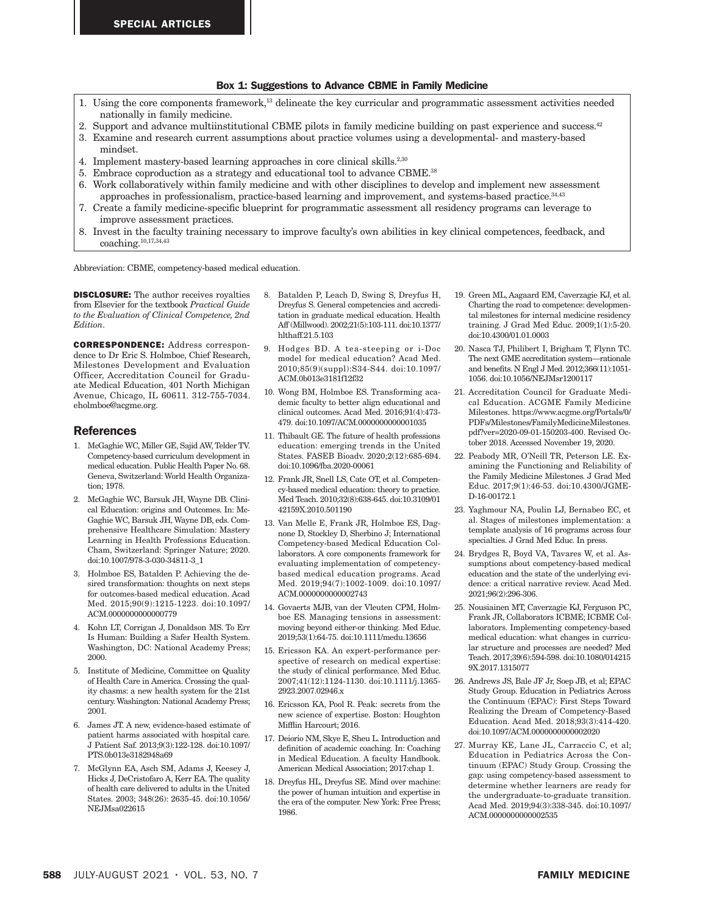#### Box 1: Suggestions to Advance CBME in Family Medicine

- 1. Using the core components framework,13 delineate the key curricular and programmatic assessment activities needed nationally in family medicine.
- 2. Support and advance multiinstitutional CBME pilots in family medicine building on past experience and success.<sup>42</sup>
- 3. Examine and research current assumptions about practice volumes using a developmental- and mastery-based mindset.
- 4. Implement mastery-based learning approaches in core clinical skills.<sup>2,30</sup>
- 5. Embrace coproduction as a strategy and educational tool to advance CBME.38
- 6. Work collaboratively within family medicine and with other disciplines to develop and implement new assessment approaches in professionalism, practice-based learning and improvement, and systems-based practice.34,43
- 7. Create a family medicine-specific blueprint for programmatic assessment all residency programs can leverage to improve assessment practices.
- 8. Invest in the faculty training necessary to improve faculty's own abilities in key clinical competences, feedback, and coaching.10,17,34,43

Abbreviation: CBME, competency-based medical education.

DISCLOSURE: The author receives royalties from Elsevier for the textbook *Practical Guide to the Evaluation of Clinical Competence, 2nd Edition*.

CORRESPONDENCE: Address correspondence to Dr Eric S. Holmboe, Chief Research, Milestones Development and Evaluation Officer, Accreditation Council for Graduate Medical Education, 401 North Michigan Avenue, Chicago, IL 60611. 312-755-7034. eholmboe@acgme.org.

#### References

- 1. McGaghie WC, Miller GE, Sajid AW, Telder TV. Competency-based curriculum development in medical education. Public Health Paper No. 68. Geneva, Switzerland: World Health Organization; 1978.
- 2. McGaghie WC, Barsuk JH, Wayne DB. Clinical Education: origins and Outcomes. In: Mc-Gaghie WC, Barsuk JH, Wayne DB, eds. Comprehensive Healthcare Simulation: Mastery Learning in Health Professions Education. Cham, Switzerland: Springer Nature; 2020. doi:10.1007/978-3-030-34811-3\_1
- 3. Holmboe ES, Batalden P. Achieving the desired transformation: thoughts on next steps for outcomes-based medical education. Acad Med. 2015;90(9):1215-1223. doi:10.1097/ ACM.0000000000000779
- 4. Kohn LT, Corrigan J, Donaldson MS. To Err Is Human: Building a Safer Health System. Washington, DC: National Academy Press; 2000.
- 5. Institute of Medicine, Committee on Quality of Health Care in America. Crossing the quality chasms: a new health system for the 21st century. Washington: National Academy Press; 2001.
- 6. James JT. A new, evidence-based estimate of patient harms associated with hospital care. J Patient Saf. 2013;9(3):122-128. doi:10.1097/ PTS.0b013e3182948a69
- 7. McGlynn EA, Asch SM, Adams J, Keesey J, Hicks J, DeCristofaro A, Kerr EA. The quality of health care delivered to adults in the United States. 2003; 348(26): 2635-45. doi:10.1056/ NEJMsa022615
- 8. Batalden P, Leach D, Swing S, Dreyfus H, Dreyfus S. General competencies and accreditation in graduate medical education. Health Aff (Millwood). 2002;21(5):103-111. doi:10.1377/ hlthaff.21.5.103
- 9. Hodges BD. A tea-steeping or i-Doc model for medical education? Acad Med. 2010;85(9)(suppl):S34-S44. doi:10.1097/ ACM.0b013e3181f12f32
- 10. Wong BM, Holmboe ES. Transforming academic faculty to better align educational and clinical outcomes. Acad Med. 2016;91(4):473- 479. doi:10.1097/ACM.0000000000001035
- 11. Thibault GE. The future of health professions education: emerging trends in the United States. FASEB Bioadv. 2020;2(12):685-694. doi:10.1096/fba.2020-00061
- 12. Frank JR, Snell LS, Cate OT, et al. Competency-based medical education: theory to practice. Med Teach. 2010;32(8):638-645. doi:10.3109/01 42159X.2010.501190
- 13. Van Melle E, Frank JR, Holmboe ES, Dagnone D, Stockley D, Sherbino J; International Competency-based Medical Education Collaborators. A core components framework for evaluating implementation of competencybased medical education programs. Acad Med. 2019;94(7):1002-1009. doi:10.1097/ ACM.0000000000002743
- 14. Govaerts MJB, van der Vleuten CPM, Holmboe ES. Managing tensions in assessment: moving beyond either-or thinking. Med Educ. 2019;53(1):64-75. doi:10.1111/medu.13656
- 15. Ericsson KA. An expert-performance perspective of research on medical expertise: the study of clinical performance. Med Educ. 2007;41(12):1124-1130. doi:10.1111/j.1365- 2923.2007.02946.x
- 16. Ericsson KA, Pool R. Peak: secrets from the new science of expertise. Boston: Houghton Mifflin Harcourt; 2016.
- 17. Deiorio NM, Skye E, Sheu L. Introduction and definition of academic coaching. In: Coaching in Medical Education. A faculty Handbook. American Medical Association; 2017:chap 1.
- 18. Dreyfus HL, Dreyfus SE. Mind over machine: the power of human intuition and expertise in the era of the computer. New York: Free Press; 1986.
- 19. Green ML, Aagaard EM, Caverzagie KJ, et al. Charting the road to competence: developmental milestones for internal medicine residency training. J Grad Med Educ. 2009;1(1):5-20. doi:10.4300/01.01.0003
- 20. Nasca TJ, Philibert I, Brigham T, Flynn TC. The next GME accreditation system—rationale and benefits. N Engl J Med. 2012;366(11):1051- 1056. doi:10.1056/NEJMsr1200117
- 21. Accreditation Council for Graduate Medical Education. ACGME Family Medicine Milestones. https://www.acgme.org/Portals/0/ PDFs/Milestones/FamilyMedicineMilestones. pdf?ver=2020-09-01-150203-400. Revised October 2018. Accessed November 19, 2020.
- 22. Peabody MR, O'Neill TR, Peterson LE. Examining the Functioning and Reliability of the Family Medicine Milestones. J Grad Med Educ. 2017;9(1):46-53. doi:10.4300/JGME-D-16-00172.1
- 23. Yaghmour NA, Poulin LJ, Bernabeo EC, et al. Stages of milestones implementation: a template analysis of 16 programs across four specialties. J Grad Med Educ. In press.
- 24. Brydges R, Boyd VA, Tavares W, et al. Assumptions about competency-based medical education and the state of the underlying evidence: a critical narrative review. Acad Med. 2021;96(2):296-306.
- 25. Nousiainen MT, Caverzagie KJ, Ferguson PC, Frank JR, Collaborators ICBME; ICBME Collaborators. Implementing competency-based medical education: what changes in curricular structure and processes are needed? Med Teach. 2017;39(6):594-598. doi:10.1080/014215 9X.2017.1315077
- 26. Andrews JS, Bale JF Jr, Soep JB, et al; EPAC Study Group. Education in Pediatrics Across the Continuum (EPAC): First Steps Toward Realizing the Dream of Competency-Based Education. Acad Med. 2018;93(3):414-420. doi:10.1097/ACM.0000000000002020
- 27. Murray KE, Lane JL, Carraccio C, et al; Education in Pediatrics Across the Continuum (EPAC) Study Group. Crossing the gap: using competency-based assessment to determine whether learners are ready for the undergraduate-to-graduate transition. Acad Med. 2019;94(3):338-345. doi:10.1097/ ACM.0000000000002535